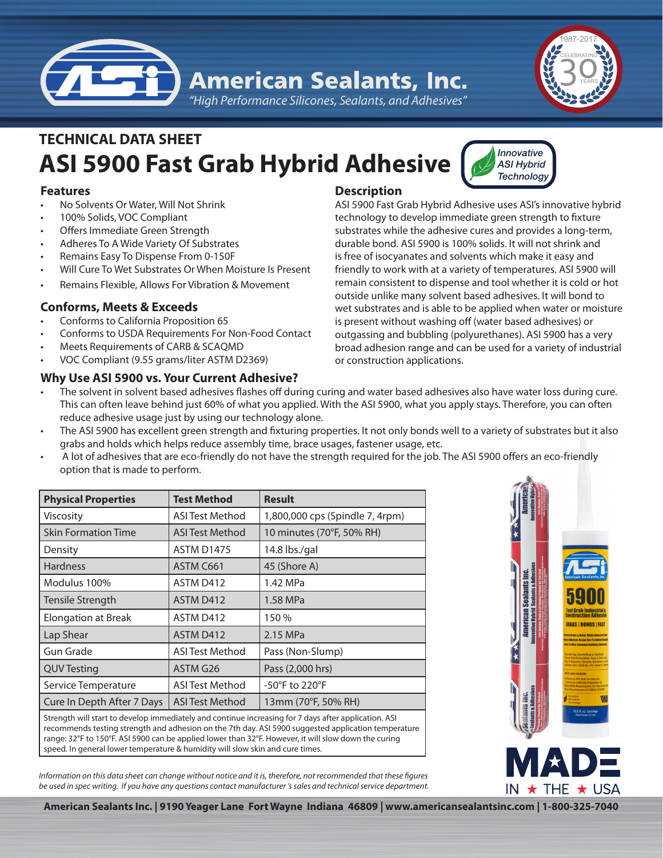

*"High Performance Silicones, Sealants, and Adhesives"*

# **ASI 5900 Fast Grab Hybrid Adhesive TECHNICAL DATA SHEET**

# **Features**

- No Solvents Or Water, Will Not Shrink
- 100% Solids, VOC Compliant
- Offers Immediate Green Strength
- Adheres To A Wide Variety Of Substrates
- Remains Easy To Dispense From 0-150F
- Will Cure To Wet Substrates Or When Moisture Is Present
- Remains Flexible, Allows For Vibration & Movement

# **Conforms, Meets & Exceeds**

- Conforms to California Proposition 65
- Conforms to USDA Requirements For Non-Food Contact
- Meets Requirements of CARB & SCAQMD
- VOC Compliant (9.55 grams/liter ASTM D2369)

# **Why Use ASI 5900 vs. Your Current Adhesive?**

# **Description**

ASI 5900 Fast Grab Hybrid Adhesive uses ASI's innovative hybrid technology to develop immediate green strength to fixture substrates while the adhesive cures and provides a long-term, durable bond. ASI 5900 is 100% solids. It will not shrink and is free of isocyanates and solvents which make it easy and friendly to work with at a variety of temperatures. ASI 5900 will remain consistent to dispense and tool whether it is cold or hot outside unlike many solvent based adhesives. It will bond to wet substrates and is able to be applied when water or moisture is present without washing off (water based adhesives) or outgassing and bubbling (polyurethanes). ASI 5900 has a very broad adhesion range and can be used for a variety of industrial or construction applications.

*Innovative ASI Hybrid Technology*

- The solvent in solvent based adhesives flashes off during curing and water based adhesives also have water loss during cure. This can often leave behind just 60% of what you applied. With the ASI 5900, what you apply stays. Therefore, you can often reduce adhesive usage just by using our technology alone.
- The ASI 5900 has excellent green strength and fixturing properties. It not only bonds well to a variety of substrates but it also grabs and holds which helps reduce assembly time, brace usages, fastener usage, etc.
- A lot of adhesives that are eco-friendly do not have the strength required for the job. The ASI 5900 offers an eco-friendly option that is made to perform.

| <b>Physical Properties</b>                                                                          | <b>Test Method</b>     | <b>Result</b>                   |
|-----------------------------------------------------------------------------------------------------|------------------------|---------------------------------|
| Viscosity                                                                                           | <b>ASI Test Method</b> | 1,800,000 cps (Spindle 7, 4rpm) |
| <b>Skin Formation Time</b>                                                                          | ASI Test Method        | 10 minutes (70°F, 50% RH)       |
| Density                                                                                             | <b>ASTM D1475</b>      | 14.8 lbs./gal                   |
| <b>Hardness</b>                                                                                     | ASTM C661              | 45 (Shore A)                    |
| Modulus 100%                                                                                        | ASTM D412              | 1.42 MPa                        |
| Tensile Strength                                                                                    | ASTM D412              | 1.58 MPa                        |
| <b>Elongation at Break</b>                                                                          | ASTM D412              | 150 %                           |
| Lap Shear                                                                                           | ASTM D412              | 2.15 MPa                        |
| Gun Grade                                                                                           | <b>ASI Test Method</b> | Pass (Non-Slump)                |
| <b>QUV Testing</b>                                                                                  | ASTM G26               | Pass (2,000 hrs)                |
| Service Temperature                                                                                 | ASI Test Method        | -50°F to 220°F                  |
| Cure In Depth After 7 Days                                                                          | <b>ASI Test Method</b> | 13mm (70°F, 50% RH)             |
| Stronath will start to develop immediately and continue increasing for 7 days after application ASI |                        |                                 |

will start to develop immediately and continue increasing for 7 days after app recommends testing strength and adhesion on the 7th day. ASI 5900 suggested application temperature range: 32°F to 150°F. ASI 5900 can be applied lower than 32°F. However, it will slow down the curing speed. In general lower temperature & humidity will slow skin and cure times.

*Information on this data sheet can change without notice and it is, therefore, not recommended that these figures be used in spec writing. If you have any questions contact manufacturer 's sales and technical service department.*



**American Sealants Inc. | 9190 Yeager Lane Fort Wayne Indiana 46809 | www.americansealantsinc.com | 1-800-325-7040**